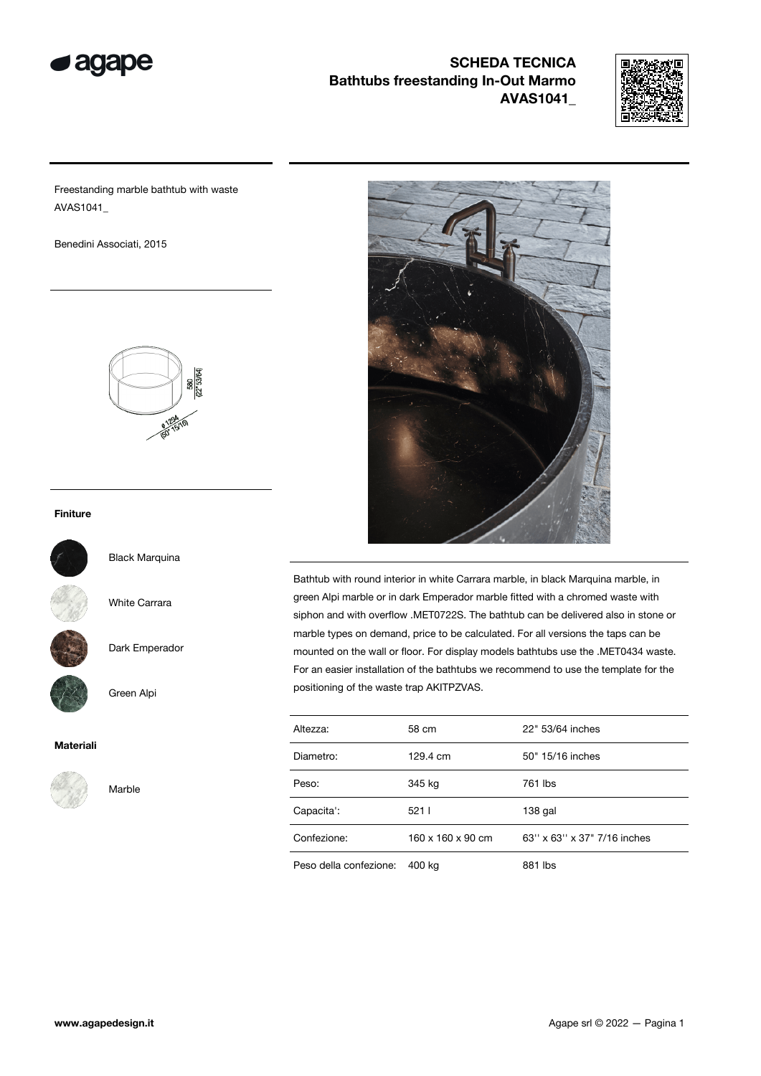



Freestanding marble bathtub with waste AVAS1041\_

Benedini Associati, 2015



#### Finiture



Black Marquina

White Carrara

Dark Emperador

Green Alpi

#### Materiali



Marble



Bathtub with round interior in white Carrara marble, in black Marquina marble, in green Alpi marble or in dark Emperador marble fitted with a chromed waste with siphon and with overflow .MET0722S. The bathtub can be delivered also in stone or marble types on demand, price to be calculated. For all versions the taps can be mounted on the wall or floor. For display models bathtubs use the .MET0434 waste. For an easier installation of the bathtubs we recommend to use the template for the positioning of the waste trap AKITPZVAS.

| Altezza:               | 58 cm                         | 22" 53/64 inches            |  |  |
|------------------------|-------------------------------|-----------------------------|--|--|
| Diametro:              | 50" 15/16 inches<br>129.4 cm  |                             |  |  |
| Peso:                  | 345 kg                        | 761 lbs                     |  |  |
| Capacita':             | 5211                          | $138$ gal                   |  |  |
| Confezione:            | $160 \times 160 \times 90$ cm | 63" x 63" x 37" 7/16 inches |  |  |
| Peso della confezione: | 400 kg                        | 881 lbs                     |  |  |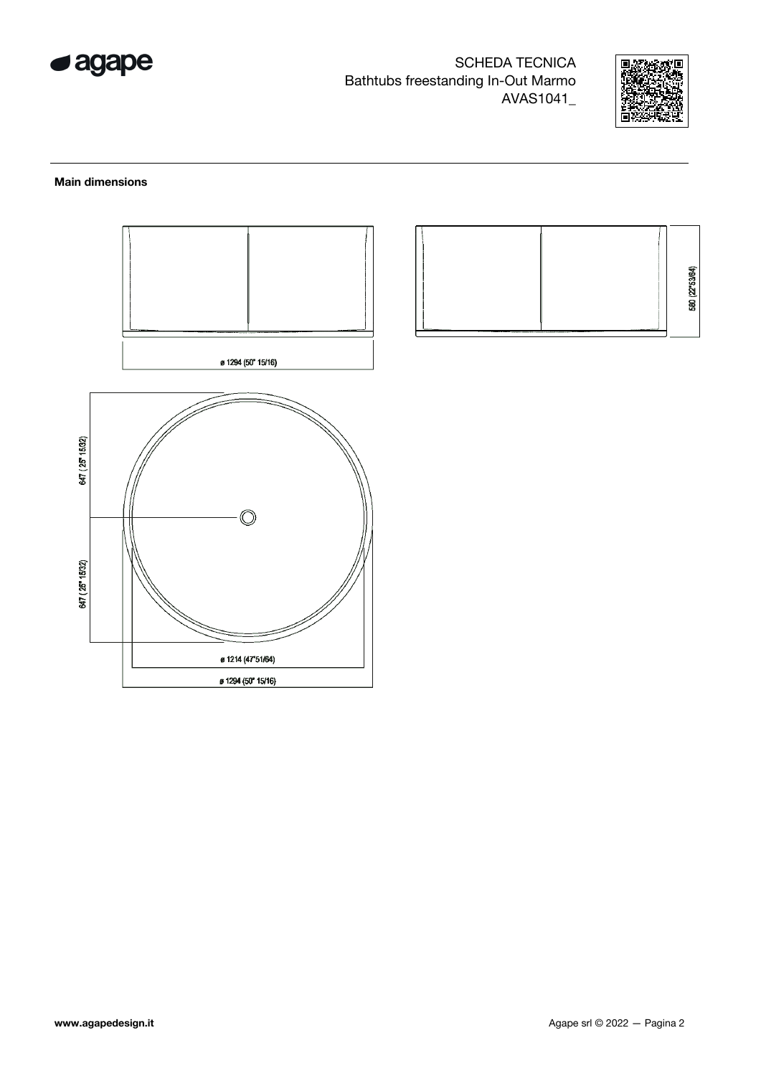



#### **Main dimensions**



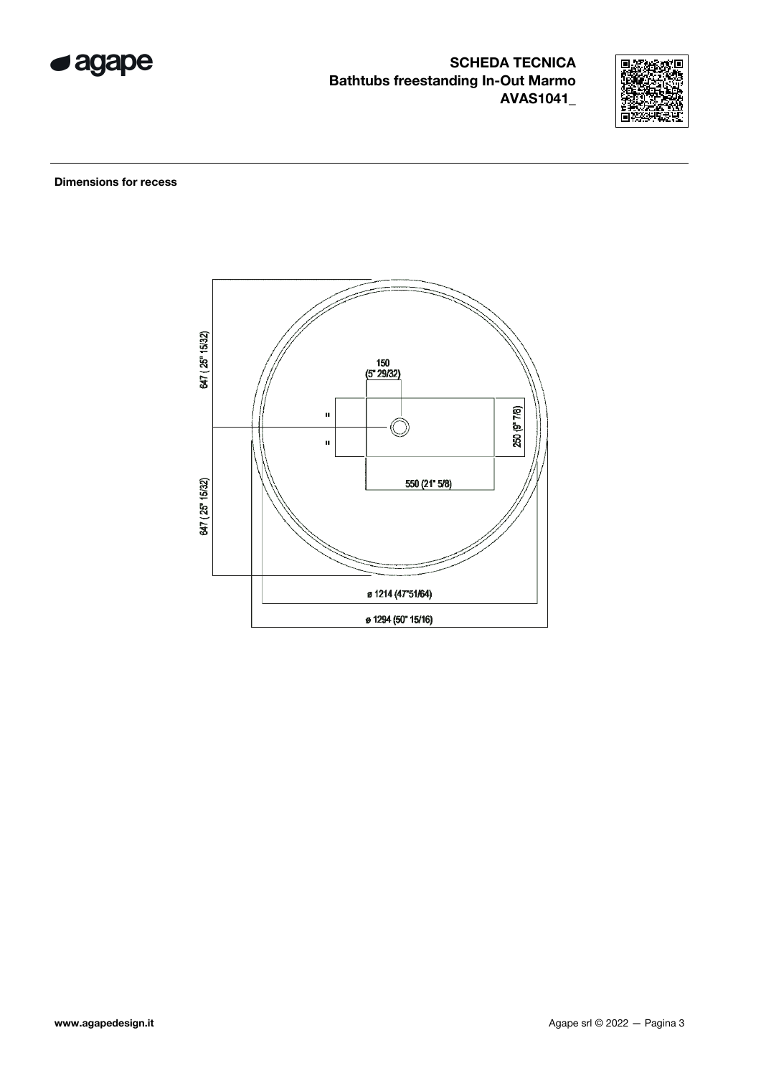



**Dimensions for recess** 

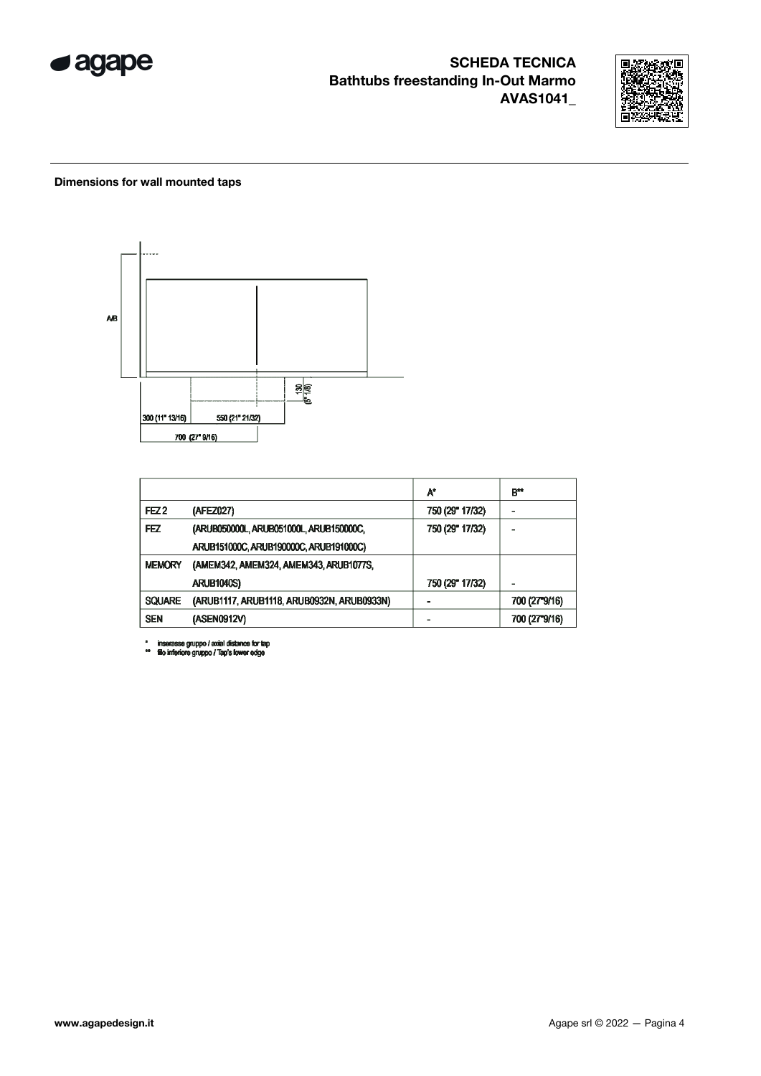



#### Dimensions for wall mounted taps



|                  |                                            | A*              | $B^{\star\star}$ |
|------------------|--------------------------------------------|-----------------|------------------|
| FEZ <sub>2</sub> | (AFEZ027)                                  | 750 (29" 17/32) |                  |
| FEZ              | (ARUB050000L, ARUB051000L, ARUB150000C,    | 750 (29" 17/32) |                  |
|                  | ARUB151000C, ARUB190000C, ARUB191000C)     |                 |                  |
| <b>MEMORY</b>    | (AMEM342, AMEM324, AMEM343, ARUB1077S,     |                 |                  |
|                  | <b>ARUB1040S)</b>                          | 750 (29" 17/32) |                  |
| <b>SQUARE</b>    | (ARUB1117, ARUB1118, ARUB0932N, ARUB0933N) |                 | 700 (27°9/16)    |
| <b>SEN</b>       | (ASEN0912V)                                |                 | 700 (27°9/16)    |

\* inserasse gruppo / axial distance for tap<br>\*\* fillo inferiore gruppo / Tap's lower edge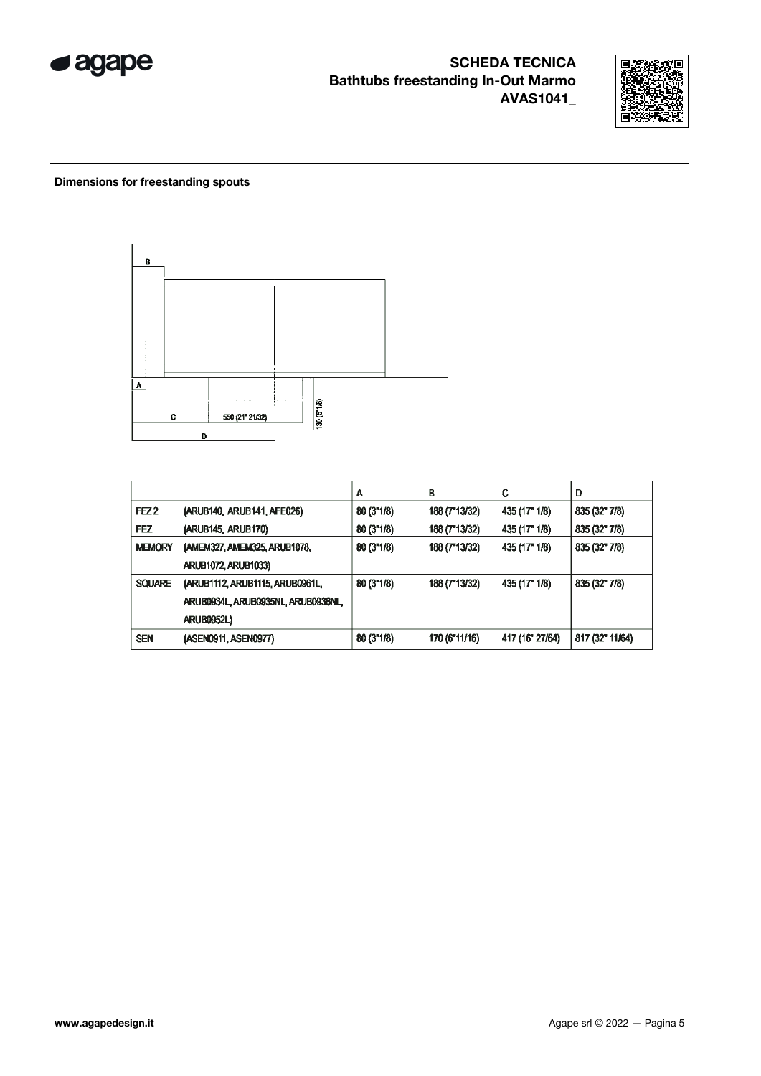



#### Dimensions for freestanding spouts



|                  |                                    | А          | в             | C               | D               |
|------------------|------------------------------------|------------|---------------|-----------------|-----------------|
| FEZ <sub>2</sub> | (ARUB140, ARUB141, AFE026)         | 80(3"1/8)  | 188 (7 13/32) | 435 (17" 1/8)   | 835 (32" 7/8)   |
| <b>FEZ</b>       | (ARUB145, ARUB170)                 | 80(3"1/8)  | 188 (7"13/32) | 435 (17" 1/8)   | 835 (32" 7/8)   |
| <b>MEMORY</b>    | (AMEM327, AMEM325, ARUB1078,       | 80(3"1/8)  | 188 (7"13/32) | 435 (17" 1/8)   | 835 (32" 7/8)   |
|                  | <b>ARUB1072, ARUB1033)</b>         |            |               |                 |                 |
| <b>SQUARE</b>    | (ARUB1112, ARUB1115, ARUB0961L,    | 80(3"1/8)  | 188 (7"13/32) | 435 (17" 1/8)   | 835 (32" 7/8)   |
|                  | ARUB0934L, ARUB0935NL, ARUB0936NL, |            |               |                 |                 |
|                  | <b>ARUB0952L)</b>                  |            |               |                 |                 |
| <b>SEN</b>       | (ASEN0911, ASEN0977)               | 80 (3"1/8) | 170 (6"11/16) | 417 (16" 27/64) | 817 (32" 11/64) |